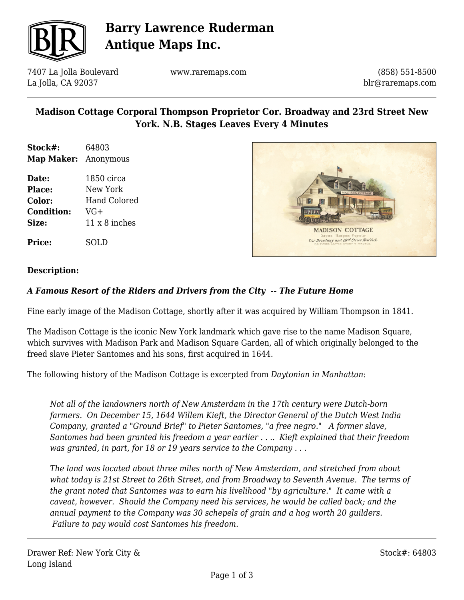

## **Barry Lawrence Ruderman Antique Maps Inc.**

7407 La Jolla Boulevard La Jolla, CA 92037

www.raremaps.com

(858) 551-8500 blr@raremaps.com

### **Madison Cottage Corporal Thompson Proprietor Cor. Broadway and 23rd Street New York. N.B. Stages Leaves Every 4 Minutes**

- **Stock#:** 64803 **Map Maker:** Anonymous
- **Date:** 1850 circa **Place:** New York **Color:** Hand Colored **Condition:** VG+ Size:  $11 \times 8$  inches



# **Description:**

**Price:** SOLD

#### *A Famous Resort of the Riders and Drivers from the City -- The Future Home*

Fine early image of the Madison Cottage, shortly after it was acquired by William Thompson in 1841.

The Madison Cottage is the iconic New York landmark which gave rise to the name Madison Square, which survives with Madison Park and Madison Square Garden, all of which originally belonged to the freed slave Pieter Santomes and his sons, first acquired in 1644.

The following history of the Madison Cottage is excerpted from *Daytonian in Manhattan*:

*Not all of the landowners north of New Amsterdam in the 17th century were Dutch-born farmers. On December 15, 1644 Willem Kieft, the Director General of the Dutch West India Company, granted a "Ground Brief" to Pieter Santomes, "a free negro." A former slave, Santomes had been granted his freedom a year earlier . . .. Kieft explained that their freedom was granted, in part, for 18 or 19 years service to the Company . . .*

*The land was located about three miles north of New Amsterdam, and stretched from about what today is 21st Street to 26th Street, and from Broadway to Seventh Avenue. The terms of the grant noted that Santomes was to earn his livelihood "by agriculture." It came with a caveat, however. Should the Company need his services, he would be called back; and the annual payment to the Company was 30 schepels of grain and a hog worth 20 guilders. Failure to pay would cost Santomes his freedom.*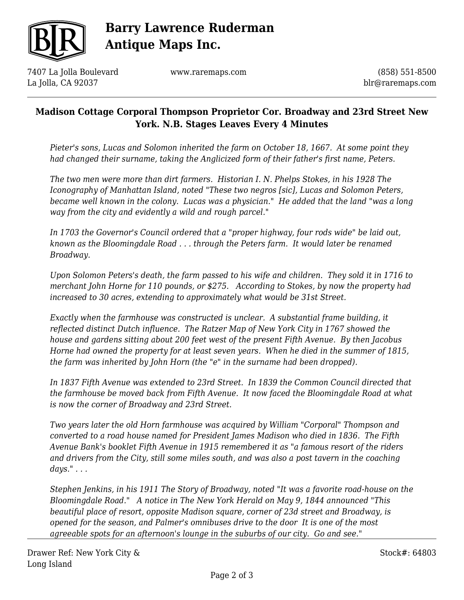

# **Barry Lawrence Ruderman Antique Maps Inc.**

7407 La Jolla Boulevard La Jolla, CA 92037

www.raremaps.com

(858) 551-8500 blr@raremaps.com

### **Madison Cottage Corporal Thompson Proprietor Cor. Broadway and 23rd Street New York. N.B. Stages Leaves Every 4 Minutes**

*Pieter's sons, Lucas and Solomon inherited the farm on October 18, 1667. At some point they had changed their surname, taking the Anglicized form of their father's first name, Peters.*

*The two men were more than dirt farmers. Historian I. N. Phelps Stokes, in his 1928 The Iconography of Manhattan Island, noted "These two negros [sic], Lucas and Solomon Peters, became well known in the colony. Lucas was a physician." He added that the land "was a long way from the city and evidently a wild and rough parcel."*

*In 1703 the Governor's Council ordered that a "proper highway, four rods wide" be laid out, known as the Bloomingdale Road . . . through the Peters farm. It would later be renamed Broadway.*

*Upon Solomon Peters's death, the farm passed to his wife and children. They sold it in 1716 to merchant John Horne for 110 pounds, or \$275. According to Stokes, by now the property had increased to 30 acres, extending to approximately what would be 31st Street.*

*Exactly when the farmhouse was constructed is unclear. A substantial frame building, it reflected distinct Dutch influence. The Ratzer Map of New York City in 1767 showed the house and gardens sitting about 200 feet west of the present Fifth Avenue. By then Jacobus Horne had owned the property for at least seven years. When he died in the summer of 1815, the farm was inherited by John Horn (the "e" in the surname had been dropped).*

*In 1837 Fifth Avenue was extended to 23rd Street. In 1839 the Common Council directed that the farmhouse be moved back from Fifth Avenue. It now faced the Bloomingdale Road at what is now the corner of Broadway and 23rd Street.* 

*Two years later the old Horn farmhouse was acquired by William "Corporal" Thompson and converted to a road house named for President James Madison who died in 1836. The Fifth Avenue Bank's booklet Fifth Avenue in 1915 remembered it as "a famous resort of the riders and drivers from the City, still some miles south, and was also a post tavern in the coaching days." . . .* 

*Stephen Jenkins, in his 1911 The Story of Broadway, noted "It was a favorite road-house on the Bloomingdale Road." A notice in The New York Herald on May 9, 1844 announced "This beautiful place of resort, opposite Madison square, corner of 23d street and Broadway, is opened for the season, and Palmer's omnibuses drive to the door It is one of the most agreeable spots for an afternoon's lounge in the suburbs of our city. Go and see."*